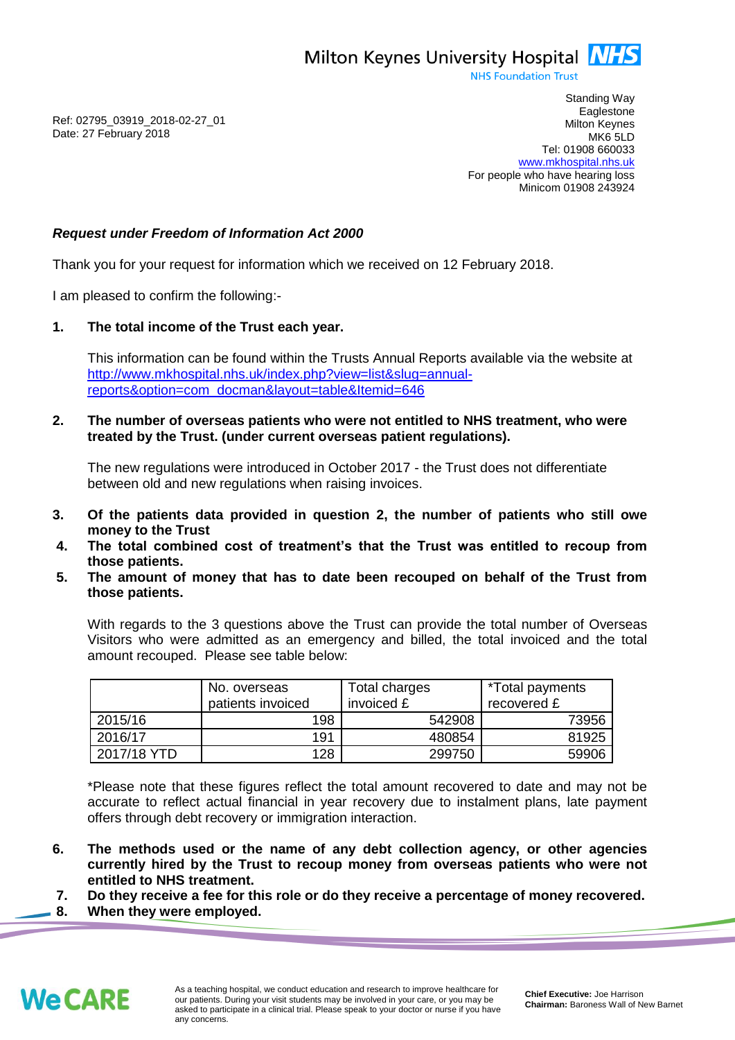Milton Keynes University Hospital **NHS** 

**NHS Foundation Trust** 

Ref: 02795\_03919\_2018-02-27\_01 Date: 27 February 2018

Standing Way **Eaglestone** Milton Keynes MK6 5LD Tel: 01908 660033 [www.mkhospital.nhs.uk](http://www.mkhospital.nhs.uk/) For people who have hearing loss Minicom 01908 243924

## *Request under Freedom of Information Act 2000*

Thank you for your request for information which we received on 12 February 2018.

I am pleased to confirm the following:-

## **1. The total income of the Trust each year.**

This information can be found within the Trusts Annual Reports available via the website at [http://www.mkhospital.nhs.uk/index.php?view=list&slug=annual](http://www.mkhospital.nhs.uk/index.php?view=list&slug=annual-reports&option=com_docman&layout=table&Itemid=646)[reports&option=com\\_docman&layout=table&Itemid=646](http://www.mkhospital.nhs.uk/index.php?view=list&slug=annual-reports&option=com_docman&layout=table&Itemid=646)

**2. The number of overseas patients who were not entitled to NHS treatment, who were treated by the Trust. (under current overseas patient regulations).**

The new regulations were introduced in October 2017 - the Trust does not differentiate between old and new regulations when raising invoices.

- **3. Of the patients data provided in question 2, the number of patients who still owe money to the Trust**
- **4. The total combined cost of treatment's that the Trust was entitled to recoup from those patients.**
- **5. The amount of money that has to date been recouped on behalf of the Trust from those patients.**

With regards to the 3 questions above the Trust can provide the total number of Overseas Visitors who were admitted as an emergency and billed, the total invoiced and the total amount recouped. Please see table below:

|             | No. overseas<br>patients invoiced | Total charges<br>invoiced £ | *Total payments<br>recovered £ |
|-------------|-----------------------------------|-----------------------------|--------------------------------|
| 2015/16     | 198                               | 542908                      | 73956                          |
| 2016/17     | 191                               | 480854                      | 81925                          |
| 2017/18 YTD | 128                               | 299750                      | 59906                          |

\*Please note that these figures reflect the total amount recovered to date and may not be accurate to reflect actual financial in year recovery due to instalment plans, late payment offers through debt recovery or immigration interaction.

- **6. The methods used or the name of any debt collection agency, or other agencies currently hired by the Trust to recoup money from overseas patients who were not entitled to NHS treatment.**
- **7. Do they receive a fee for this role or do they receive a percentage of money recovered.**
- **8. When they were employed.**